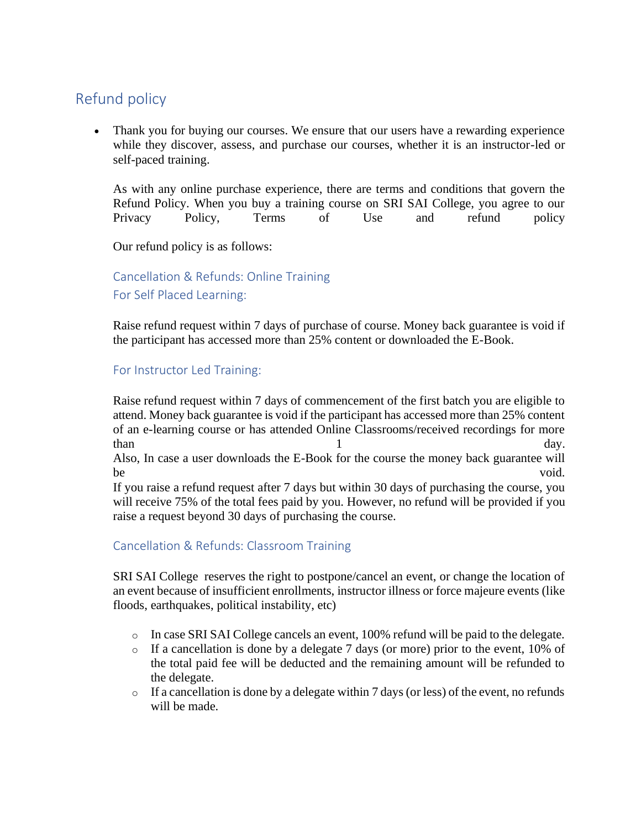# Refund policy

Thank you for buying our courses. We ensure that our users have a rewarding experience while they discover, assess, and purchase our courses, whether it is an instructor-led or self-paced training.

As with any online purchase experience, there are terms and conditions that govern the Refund Policy. When you buy a training course on SRI SAI College, you agree to our Privacy Policy, Terms of Use and refund policy

Our refund policy is as follows:

Cancellation & Refunds: Online Training For Self Placed Learning:

Raise refund request within 7 days of purchase of course. Money back guarantee is void if the participant has accessed more than 25% content or downloaded the E-Book.

## For Instructor Led Training:

Raise refund request within 7 days of commencement of the first batch you are eligible to attend. Money back guarantee is void if the participant has accessed more than 25% content of an e-learning course or has attended Online Classrooms/received recordings for more than day. Also, In case a user downloads the E-Book for the course the money back guarantee will be void. If you raise a refund request after 7 days but within 30 days of purchasing the course, you will receive 75% of the total fees paid by you. However, no refund will be provided if you raise a request beyond 30 days of purchasing the course.

# Cancellation & Refunds: Classroom Training

SRI SAI College reserves the right to postpone/cancel an event, or change the location of an event because of insufficient enrollments, instructor illness or force majeure events (like floods, earthquakes, political instability, etc)

- o In case SRI SAI College cancels an event, 100% refund will be paid to the delegate.
- $\circ$  If a cancellation is done by a delegate 7 days (or more) prior to the event, 10% of the total paid fee will be deducted and the remaining amount will be refunded to the delegate.
- $\circ$  If a cancellation is done by a delegate within 7 days (or less) of the event, no refunds will be made.